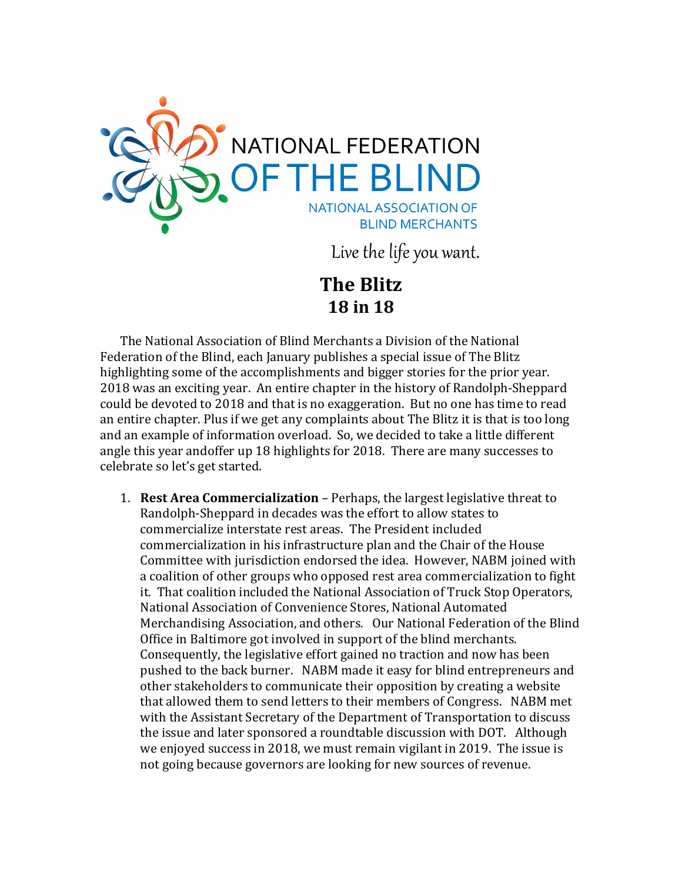

Live the life you want.

**The Blitz 18 in 18**

The National Association of Blind Merchants a Division of the National Federation of the Blind, each January publishes a special issue of The Blitz highlighting some of the accomplishments and bigger stories for the prior year. 2018 was an exciting year. An entire chapter in the history of Randolph-Sheppard could be devoted to 2018 and that is no exaggeration. But no one has time to read an entire chapter. Plus if we get any complaints about The Blitz it is that is too long and an example of information overload. So, we decided to take a little different angle this year andoffer up 18 highlights for 2018. There are many successes to celebrate so let's get started.

1. **Rest Area Commercialization** – Perhaps, the largest legislative threat to Randolph-Sheppard in decades was the effort to allow states to commercialize interstate rest areas. The President included commercialization in his infrastructure plan and the Chair of the House Committee with jurisdiction endorsed the idea. However, NABM joined with a coalition of other groups who opposed rest area commercialization to fight it. That coalition included the National Association of Truck Stop Operators, National Association of Convenience Stores, National Automated Merchandising Association, and others. Our National Federation of the Blind Office in Baltimore got involved in support of the blind merchants. Consequently, the legislative effort gained no traction and now has been pushed to the back burner. NABM made it easy for blind entrepreneurs and other stakeholders to communicate their opposition by creating a website that allowed them to send letters to their members of Congress. NABM met with the Assistant Secretary of the Department of Transportation to discuss the issue and later sponsored a roundtable discussion with DOT. Although we enjoyed success in 2018, we must remain vigilant in 2019. The issue is not going because governors are looking for new sources of revenue.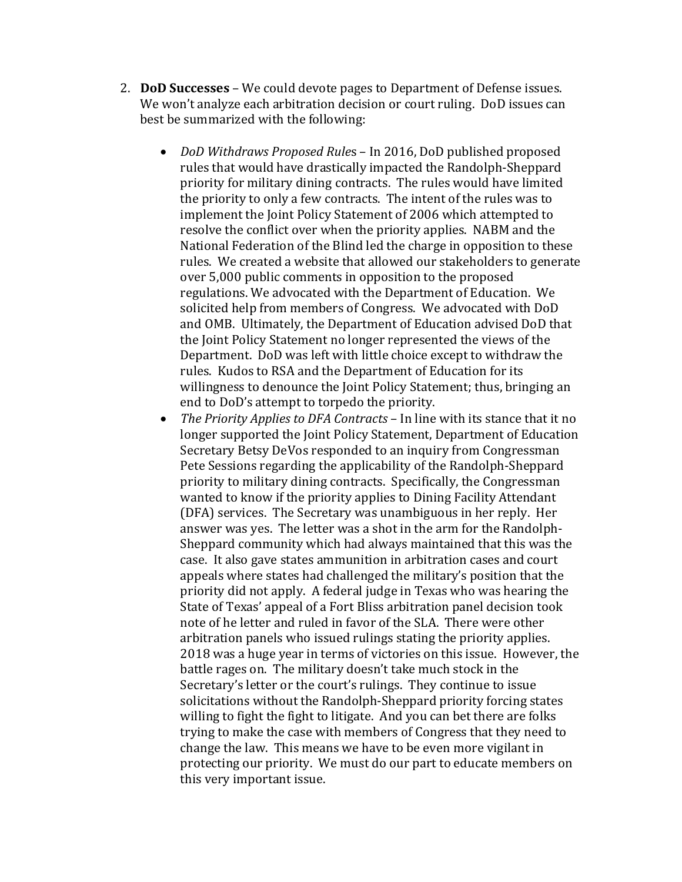- 2. **DoD Successes**  We could devote pages to Department of Defense issues. We won't analyze each arbitration decision or court ruling. DoD issues can best be summarized with the following:
	- *DoD Withdraws Proposed Rule*s In 2016, DoD published proposed rules that would have drastically impacted the Randolph-Sheppard priority for military dining contracts. The rules would have limited the priority to only a few contracts. The intent of the rules was to implement the Joint Policy Statement of 2006 which attempted to resolve the conflict over when the priority applies. NABM and the National Federation of the Blind led the charge in opposition to these rules. We created a website that allowed our stakeholders to generate over 5,000 public comments in opposition to the proposed regulations. We advocated with the Department of Education. We solicited help from members of Congress. We advocated with DoD and OMB. Ultimately, the Department of Education advised DoD that the Joint Policy Statement no longer represented the views of the Department. DoD was left with little choice except to withdraw the rules. Kudos to RSA and the Department of Education for its willingness to denounce the Joint Policy Statement; thus, bringing an end to DoD's attempt to torpedo the priority.
	- *The Priority Applies to DFA Contracts* In line with its stance that it no longer supported the Joint Policy Statement, Department of Education Secretary Betsy DeVos responded to an inquiry from Congressman Pete Sessions regarding the applicability of the Randolph-Sheppard priority to military dining contracts. Specifically, the Congressman wanted to know if the priority applies to Dining Facility Attendant (DFA) services. The Secretary was unambiguous in her reply. Her answer was yes. The letter was a shot in the arm for the Randolph-Sheppard community which had always maintained that this was the case. It also gave states ammunition in arbitration cases and court appeals where states had challenged the military's position that the priority did not apply. A federal judge in Texas who was hearing the State of Texas' appeal of a Fort Bliss arbitration panel decision took note of he letter and ruled in favor of the SLA. There were other arbitration panels who issued rulings stating the priority applies. 2018 was a huge year in terms of victories on this issue. However, the battle rages on. The military doesn't take much stock in the Secretary's letter or the court's rulings. They continue to issue solicitations without the Randolph-Sheppard priority forcing states willing to fight the fight to litigate. And you can bet there are folks trying to make the case with members of Congress that they need to change the law. This means we have to be even more vigilant in protecting our priority. We must do our part to educate members on this very important issue.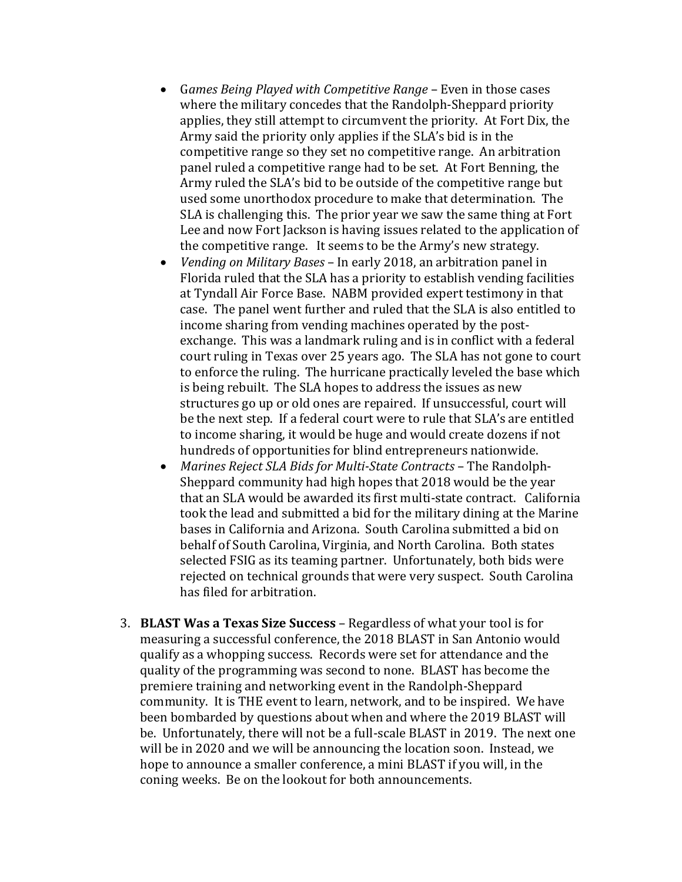- G*ames Being Played with Competitive Range*  Even in those cases where the military concedes that the Randolph-Sheppard priority applies, they still attempt to circumvent the priority. At Fort Dix, the Army said the priority only applies if the SLA's bid is in the competitive range so they set no competitive range. An arbitration panel ruled a competitive range had to be set. At Fort Benning, the Army ruled the SLA's bid to be outside of the competitive range but used some unorthodox procedure to make that determination. The SLA is challenging this. The prior year we saw the same thing at Fort Lee and now Fort Jackson is having issues related to the application of the competitive range. It seems to be the Army's new strategy.
- *Vending on Military Bases*  In early 2018, an arbitration panel in Florida ruled that the SLA has a priority to establish vending facilities at Tyndall Air Force Base. NABM provided expert testimony in that case. The panel went further and ruled that the SLA is also entitled to income sharing from vending machines operated by the postexchange. This was a landmark ruling and is in conflict with a federal court ruling in Texas over 25 years ago. The SLA has not gone to court to enforce the ruling. The hurricane practically leveled the base which is being rebuilt. The SLA hopes to address the issues as new structures go up or old ones are repaired. If unsuccessful, court will be the next step. If a federal court were to rule that SLA's are entitled to income sharing, it would be huge and would create dozens if not hundreds of opportunities for blind entrepreneurs nationwide.
- *Marines Reject SLA Bids for Multi-State Contracts* The Randolph-Sheppard community had high hopes that 2018 would be the year that an SLA would be awarded its first multi-state contract. California took the lead and submitted a bid for the military dining at the Marine bases in California and Arizona. South Carolina submitted a bid on behalf of South Carolina, Virginia, and North Carolina. Both states selected FSIG as its teaming partner. Unfortunately, both bids were rejected on technical grounds that were very suspect. South Carolina has filed for arbitration.
- 3. **BLAST Was a Texas Size Success**  Regardless of what your tool is for measuring a successful conference, the 2018 BLAST in San Antonio would qualify as a whopping success. Records were set for attendance and the quality of the programming was second to none. BLAST has become the premiere training and networking event in the Randolph-Sheppard community. It is THE event to learn, network, and to be inspired. We have been bombarded by questions about when and where the 2019 BLAST will be. Unfortunately, there will not be a full-scale BLAST in 2019. The next one will be in 2020 and we will be announcing the location soon. Instead, we hope to announce a smaller conference, a mini BLAST if you will, in the coning weeks. Be on the lookout for both announcements.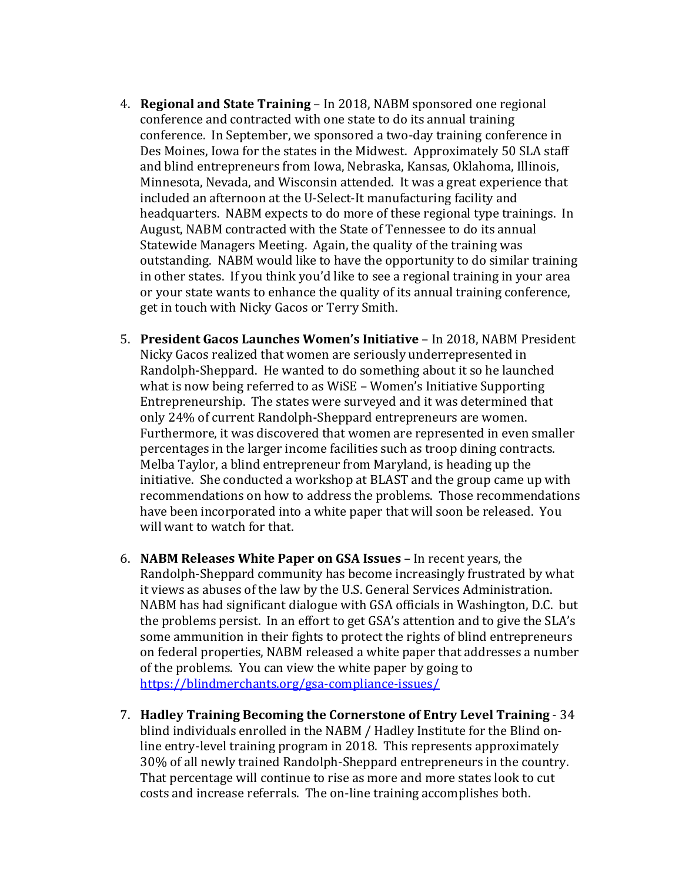- 4. **Regional and State Training**  In 2018, NABM sponsored one regional conference and contracted with one state to do its annual training conference. In September, we sponsored a two-day training conference in Des Moines, Iowa for the states in the Midwest. Approximately 50 SLA staff and blind entrepreneurs from Iowa, Nebraska, Kansas, Oklahoma, Illinois, Minnesota, Nevada, and Wisconsin attended. It was a great experience that included an afternoon at the U-Select-It manufacturing facility and headquarters. NABM expects to do more of these regional type trainings. In August, NABM contracted with the State of Tennessee to do its annual Statewide Managers Meeting. Again, the quality of the training was outstanding. NABM would like to have the opportunity to do similar training in other states. If you think you'd like to see a regional training in your area or your state wants to enhance the quality of its annual training conference, get in touch with Nicky Gacos or Terry Smith.
- 5. **President Gacos Launches Women's Initiative** In 2018, NABM President Nicky Gacos realized that women are seriously underrepresented in Randolph-Sheppard. He wanted to do something about it so he launched what is now being referred to as WiSE – Women's Initiative Supporting Entrepreneurship. The states were surveyed and it was determined that only 24% of current Randolph-Sheppard entrepreneurs are women. Furthermore, it was discovered that women are represented in even smaller percentages in the larger income facilities such as troop dining contracts. Melba Taylor, a blind entrepreneur from Maryland, is heading up the initiative. She conducted a workshop at BLAST and the group came up with recommendations on how to address the problems. Those recommendations have been incorporated into a white paper that will soon be released. You will want to watch for that.
- 6. **NABM Releases White Paper on GSA Issues** In recent years, the Randolph-Sheppard community has become increasingly frustrated by what it views as abuses of the law by the U.S. General Services Administration. NABM has had significant dialogue with GSA officials in Washington, D.C. but the problems persist. In an effort to get GSA's attention and to give the SLA's some ammunition in their fights to protect the rights of blind entrepreneurs on federal properties, NABM released a white paper that addresses a number of the problems. You can view the white paper by going to <https://blindmerchants.org/gsa-compliance-issues/>
- 7. **Hadley Training Becoming the Cornerstone of Entry Level Training** 34 blind individuals enrolled in the NABM / Hadley Institute for the Blind online entry-level training program in 2018. This represents approximately 30% of all newly trained Randolph-Sheppard entrepreneurs in the country. That percentage will continue to rise as more and more states look to cut costs and increase referrals. The on-line training accomplishes both.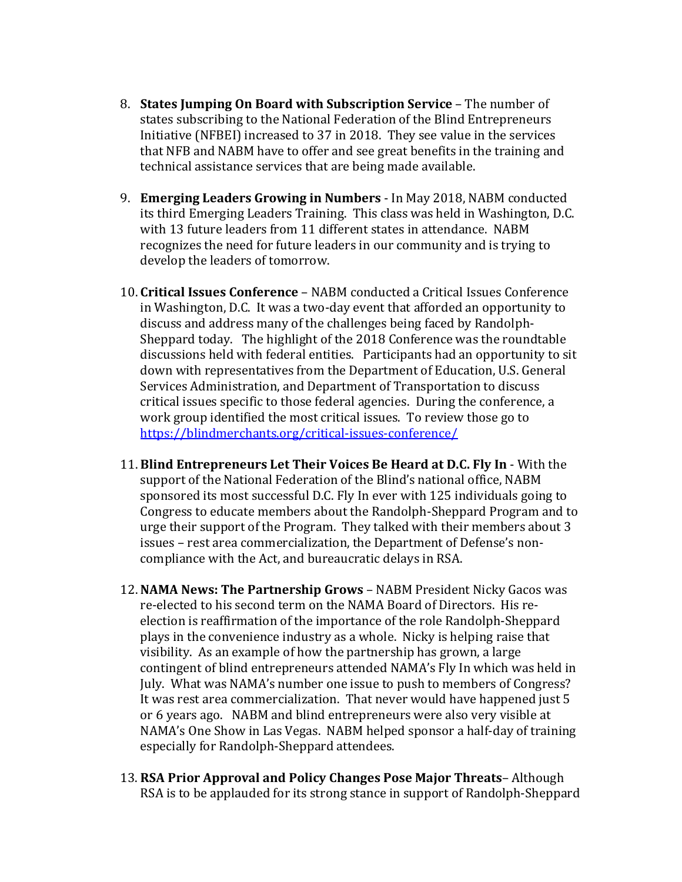- 8. **States Jumping On Board with Subscription Service** The number of states subscribing to the National Federation of the Blind Entrepreneurs Initiative (NFBEI) increased to 37 in 2018. They see value in the services that NFB and NABM have to offer and see great benefits in the training and technical assistance services that are being made available.
- 9. **Emerging Leaders Growing in Numbers** In May 2018, NABM conducted its third Emerging Leaders Training. This class was held in Washington, D.C. with 13 future leaders from 11 different states in attendance. NABM recognizes the need for future leaders in our community and is trying to develop the leaders of tomorrow.
- 10. **Critical Issues Conference**  NABM conducted a Critical Issues Conference in Washington, D.C. It was a two-day event that afforded an opportunity to discuss and address many of the challenges being faced by Randolph-Sheppard today. The highlight of the 2018 Conference was the roundtable discussions held with federal entities. Participants had an opportunity to sit down with representatives from the Department of Education, U.S. General Services Administration, and Department of Transportation to discuss critical issues specific to those federal agencies. During the conference, a work group identified the most critical issues. To review those go to <https://blindmerchants.org/critical-issues-conference/>
- 11. **Blind Entrepreneurs Let Their Voices Be Heard at D.C. Fly In** With the support of the National Federation of the Blind's national office, NABM sponsored its most successful D.C. Fly In ever with 125 individuals going to Congress to educate members about the Randolph-Sheppard Program and to urge their support of the Program. They talked with their members about 3 issues – rest area commercialization, the Department of Defense's noncompliance with the Act, and bureaucratic delays in RSA.
- 12. **NAMA News: The Partnership Grows** NABM President Nicky Gacos was re-elected to his second term on the NAMA Board of Directors. His reelection is reaffirmation of the importance of the role Randolph-Sheppard plays in the convenience industry as a whole. Nicky is helping raise that visibility. As an example of how the partnership has grown, a large contingent of blind entrepreneurs attended NAMA's Fly In which was held in July. What was NAMA's number one issue to push to members of Congress? It was rest area commercialization. That never would have happened just 5 or 6 years ago. NABM and blind entrepreneurs were also very visible at NAMA's One Show in Las Vegas. NABM helped sponsor a half-day of training especially for Randolph-Sheppard attendees.
- 13. **RSA Prior Approval and Policy Changes Pose Major Threats** Although RSA is to be applauded for its strong stance in support of Randolph-Sheppard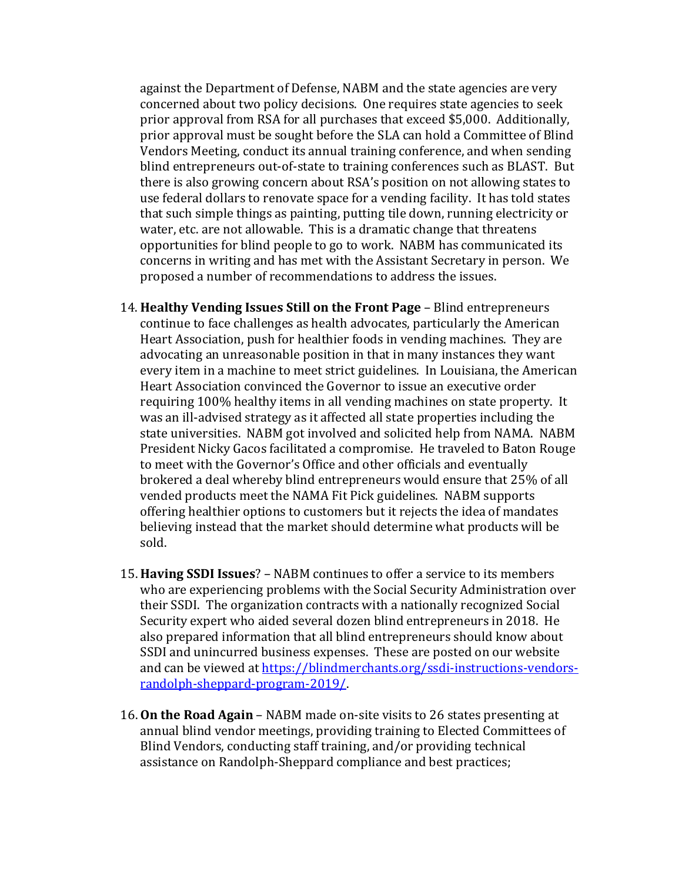against the Department of Defense, NABM and the state agencies are very concerned about two policy decisions. One requires state agencies to seek prior approval from RSA for all purchases that exceed \$5,000. Additionally, prior approval must be sought before the SLA can hold a Committee of Blind Vendors Meeting, conduct its annual training conference, and when sending blind entrepreneurs out-of-state to training conferences such as BLAST. But there is also growing concern about RSA's position on not allowing states to use federal dollars to renovate space for a vending facility. It has told states that such simple things as painting, putting tile down, running electricity or water, etc. are not allowable. This is a dramatic change that threatens opportunities for blind people to go to work. NABM has communicated its concerns in writing and has met with the Assistant Secretary in person. We proposed a number of recommendations to address the issues.

- 14. **Healthy Vending Issues Still on the Front Page** Blind entrepreneurs continue to face challenges as health advocates, particularly the American Heart Association, push for healthier foods in vending machines. They are advocating an unreasonable position in that in many instances they want every item in a machine to meet strict guidelines. In Louisiana, the American Heart Association convinced the Governor to issue an executive order requiring 100% healthy items in all vending machines on state property. It was an ill-advised strategy as it affected all state properties including the state universities. NABM got involved and solicited help from NAMA. NABM President Nicky Gacos facilitated a compromise. He traveled to Baton Rouge to meet with the Governor's Office and other officials and eventually brokered a deal whereby blind entrepreneurs would ensure that 25% of all vended products meet the NAMA Fit Pick guidelines. NABM supports offering healthier options to customers but it rejects the idea of mandates believing instead that the market should determine what products will be sold.
- 15. **Having SSDI Issues**? NABM continues to offer a service to its members who are experiencing problems with the Social Security Administration over their SSDI. The organization contracts with a nationally recognized Social Security expert who aided several dozen blind entrepreneurs in 2018. He also prepared information that all blind entrepreneurs should know about SSDI and unincurred business expenses. These are posted on our website and can be viewed at [https://blindmerchants.org/ssdi-instructions-vendors](https://blindmerchants.org/ssdi-instructions-vendors-randolph-sheppard-program-2019/)[randolph-sheppard-program-2019/.](https://blindmerchants.org/ssdi-instructions-vendors-randolph-sheppard-program-2019/)
- 16. **On the Road Again** NABM made on-site visits to 26 states presenting at annual blind vendor meetings, providing training to Elected Committees of Blind Vendors, conducting staff training, and/or providing technical assistance on Randolph-Sheppard compliance and best practices;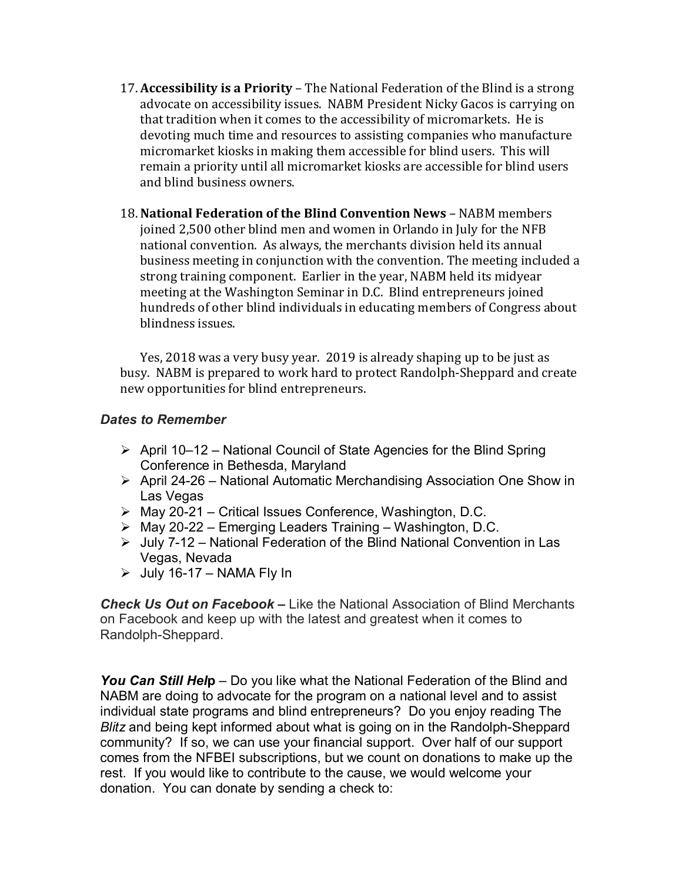- 17. **Accessibility is a Priority** The National Federation of the Blind is a strong advocate on accessibility issues. NABM President Nicky Gacos is carrying on that tradition when it comes to the accessibility of micromarkets. He is devoting much time and resources to assisting companies who manufacture micromarket kiosks in making them accessible for blind users. This will remain a priority until all micromarket kiosks are accessible for blind users and blind business owners.
- 18. **National Federation of the Blind Convention News** NABM members joined 2,500 other blind men and women in Orlando in July for the NFB national convention. As always, the merchants division held its annual business meeting in conjunction with the convention. The meeting included a strong training component. Earlier in the year, NABM held its midyear meeting at the Washington Seminar in D.C. Blind entrepreneurs joined hundreds of other blind individuals in educating members of Congress about blindness issues.

Yes, 2018 was a very busy year. 2019 is already shaping up to be just as busy. NABM is prepared to work hard to protect Randolph-Sheppard and create new opportunities for blind entrepreneurs.

## *Dates to Remember*

- $\triangleright$  April 10–12 National Council of State Agencies for the Blind Spring Conference in Bethesda, Maryland
- April 24-26 National Automatic Merchandising Association One Show in Las Vegas
- May 20-21 Critical Issues Conference, Washington, D.C.
- $\triangleright$  May 20-22 Emerging Leaders Training Washington, D.C.
- $\triangleright$  July 7-12 National Federation of the Blind National Convention in Las Vegas, Nevada
- $\geq$  July 16-17 NAMA Fly In

*Check Us Out on Facebook –* Like the National Association of Blind Merchants on Facebook and keep up with the latest and greatest when it comes to Randolph-Sheppard.

*You Can Still Hel***p** – Do you like what the National Federation of the Blind and NABM are doing to advocate for the program on a national level and to assist individual state programs and blind entrepreneurs? Do you enjoy reading The *Blitz* and being kept informed about what is going on in the Randolph-Sheppard community? If so, we can use your financial support. Over half of our support comes from the NFBEI subscriptions, but we count on donations to make up the rest. If you would like to contribute to the cause, we would welcome your donation. You can donate by sending a check to: